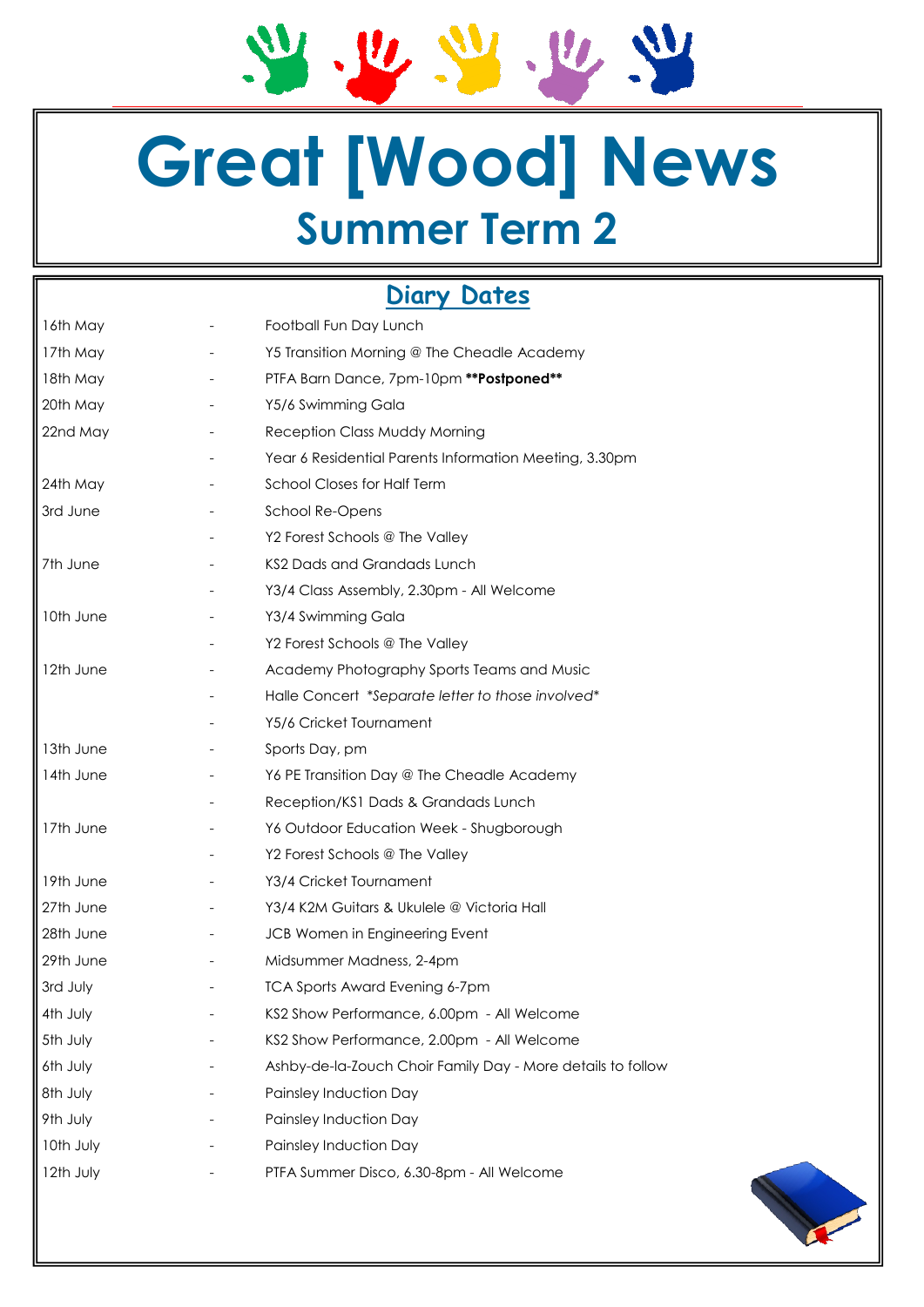21. 12. 24. 12. 24

# **Great [Wood] News Summer Term 2**

# **Diary Dates**

| $\vert$ 16th May     | Football Fun Day Lunch                                      |
|----------------------|-------------------------------------------------------------|
| 17th May             | Y5 Transition Morning @ The Cheadle Academy                 |
| $\parallel$ 18th May | PTFA Barn Dance, 7pm-10pm ** Postponed**                    |
| 20th May             | Y5/6 Swimming Gala                                          |
| $\parallel$ 22nd May | Reception Class Muddy Morning                               |
|                      | Year 6 Residential Parents Information Meeting, 3.30pm      |
| 24th May             | School Closes for Half Term                                 |
| 3rd June             | School Re-Opens                                             |
|                      | Y2 Forest Schools @ The Valley                              |
| ∥7th June            | KS2 Dads and Grandads Lunch                                 |
|                      | Y3/4 Class Assembly, 2.30pm - All Welcome                   |
| 10th June            | Y3/4 Swimming Gala                                          |
|                      | Y2 Forest Schools @ The Valley                              |
| 12th June            | Academy Photography Sports Teams and Music                  |
|                      | Halle Concert *Separate letter to those involved*           |
|                      | Y5/6 Cricket Tournament                                     |
| 13th June            | Sports Day, pm                                              |
| ∥14th June           | Y6 PE Transition Day @ The Cheadle Academy                  |
|                      | Reception/KS1 Dads & Grandads Lunch                         |
| 17th June            | Y6 Outdoor Education Week - Shugborough                     |
|                      | Y2 Forest Schools @ The Valley                              |
| 19th June            | Y3/4 Cricket Tournament                                     |
| 27th June            | Y3/4 K2M Guitars & Ukulele @ Victoria Hall                  |
| 28th June            | JCB Women in Engineering Event                              |
| 29th June            | Midsummer Madness, 2-4pm                                    |
| 3rd July             | <b>TCA Sports Award Evening 6-7pm</b>                       |
| 4th July             | KS2 Show Performance, 6.00pm - All Welcome                  |
| 5th July             | KS2 Show Performance, 2.00pm - All Welcome                  |
| 6th July             | Ashby-de-la-Zouch Choir Family Day - More details to follow |
| 8th July             | Painsley Induction Day                                      |
| 9th July             | Painsley Induction Day                                      |
| 10th July            | Painsley Induction Day                                      |
| 12th July            | PTFA Summer Disco, 6.30-8pm - All Welcome                   |
|                      |                                                             |